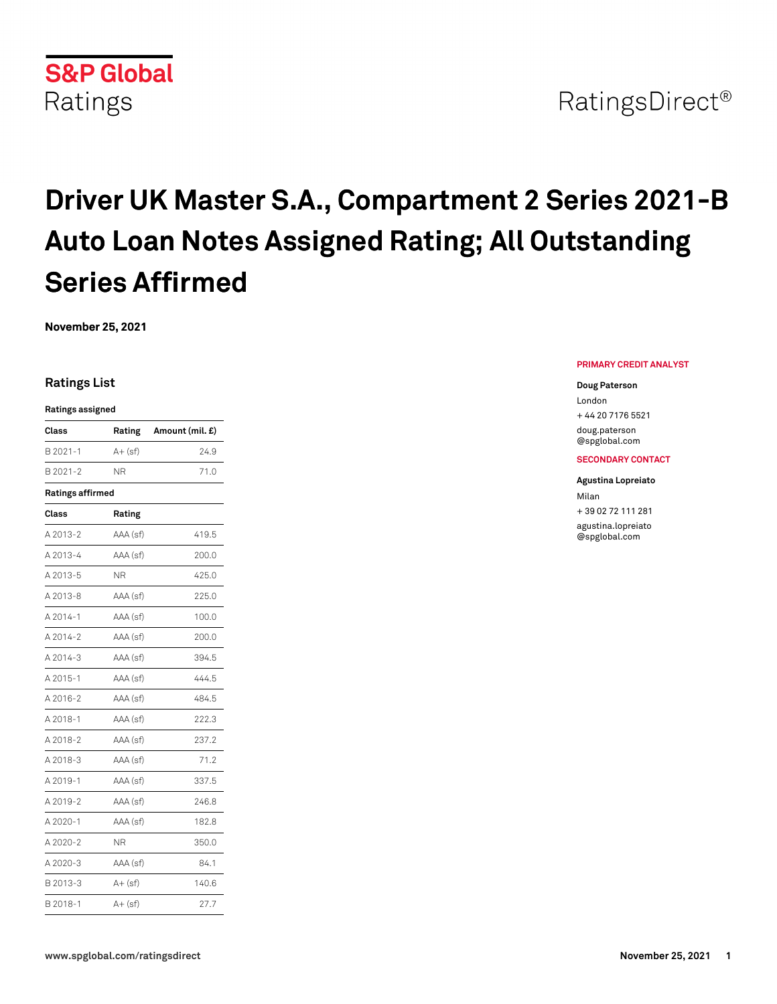

# **Driver UK Master S.A., Compartment 2 Series 2021-B Auto Loan Notes Assigned Rating; All Outstanding Series Affirmed**

**November 25, 2021**

## **Ratings List**

#### **Ratings assigned**

| Class                   | Rating     | Amount (mil. £) |  |  |
|-------------------------|------------|-----------------|--|--|
| B 2021-1                | A+ (sf)    | 24.9            |  |  |
| B 2021-2                | ΝR         | 71.0            |  |  |
| <b>Ratings affirmed</b> |            |                 |  |  |
| Class                   | Rating     |                 |  |  |
| A 2013-2                | AAA (sf)   | 419.5           |  |  |
| A 2013-4                | AAA (sf)   | 200.0           |  |  |
| A 2013-5                | ΝR         | 425.0           |  |  |
| A 2013-8                | AAA (sf)   | 225.0           |  |  |
| A 2014-1                | AAA (sf)   | 100.0           |  |  |
| A 2014-2                | AAA (sf)   | 200.0           |  |  |
| A 2014-3                | AAA (sf)   | 394.5           |  |  |
| A 2015-1                | AAA (sf)   | 444.5           |  |  |
| A 2016-2                | AAA (sf)   | 484.5           |  |  |
| A 2018-1                | AAA (sf)   | 222.3           |  |  |
| A 2018-2                | AAA (sf)   | 237.2           |  |  |
| A 2018-3                | AAA (sf)   | 71.2            |  |  |
| A 2019-1                | AAA (sf)   | 337.5           |  |  |
| A 2019-2                | AAA (sf)   | 246.8           |  |  |
| A 2020-1                | AAA (sf)   | 182.8           |  |  |
| A 2020-2                | ΝR         | 350.0           |  |  |
| A 2020-3                | AAA (sf)   | 84.1            |  |  |
| B 2013-3                | $A + (sf)$ | 140.6           |  |  |
| B 2018-1                | $A+$ (sf)  | 27.7            |  |  |

#### **PRIMARY CREDIT ANALYST**

#### **Doug Paterson**

London + 44 20 7176 5521

[doug.paterson](mailto: doug.paterson@spglobal.com) [@spglobal.com](mailto: doug.paterson@spglobal.com)

### **SECONDARY CONTACT**

#### **Agustina Lopreiato**

Milan + 39 02 72 111 281 [agustina.lopreiato](mailto: agustina.lopreiato@spglobal.com) [@spglobal.com](mailto: agustina.lopreiato@spglobal.com)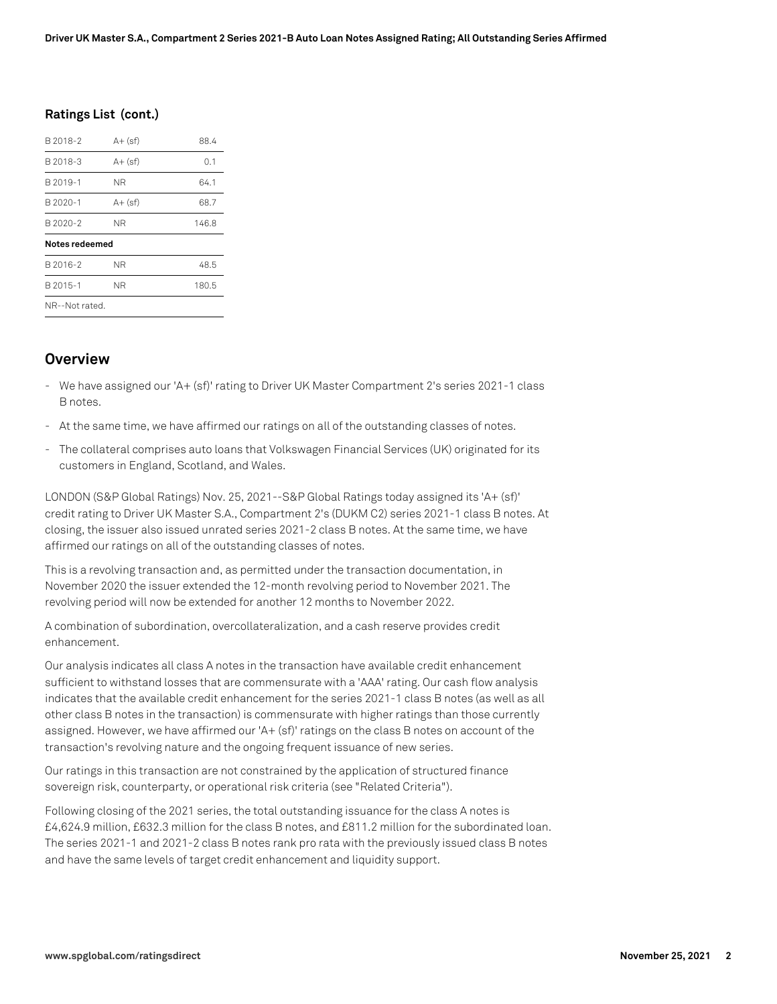## **Ratings List (cont.)**

| B 2018-2       | $A + (sf)$ | 88.4  |
|----------------|------------|-------|
| B 2018-3       | $A + (sf)$ | 0.1   |
| B 2019-1       | ΝR         | 64.1  |
| B 2020-1       | $A + (sf)$ | 68.7  |
| B 2020-2       | ΝR         | 146.8 |
| Notes redeemed |            |       |
| B 2016-2       | ΝR         | 48.5  |
| B 2015-1       | ΝR         | 180.5 |
| NR--Not rated. |            |       |

# **Overview**

- We have assigned our 'A+ (sf)' rating to Driver UK Master Compartment 2's series 2021-1 class B notes.
- At the same time, we have affirmed our ratings on all of the outstanding classes of notes.
- The collateral comprises auto loans that Volkswagen Financial Services (UK) originated for its customers in England, Scotland, and Wales.

LONDON (S&P Global Ratings) Nov. 25, 2021--S&P Global Ratings today assigned its 'A+ (sf)' credit rating to Driver UK Master S.A., Compartment 2's (DUKM C2) series 2021-1 class B notes. At closing, the issuer also issued unrated series 2021-2 class B notes. At the same time, we have affirmed our ratings on all of the outstanding classes of notes.

This is a revolving transaction and, as permitted under the transaction documentation, in November 2020 the issuer extended the 12-month revolving period to November 2021. The revolving period will now be extended for another 12 months to November 2022.

A combination of subordination, overcollateralization, and a cash reserve provides credit enhancement.

Our analysis indicates all class A notes in the transaction have available credit enhancement sufficient to withstand losses that are commensurate with a 'AAA' rating. Our cash flow analysis indicates that the available credit enhancement for the series 2021-1 class B notes (as well as all other class B notes in the transaction) is commensurate with higher ratings than those currently assigned. However, we have affirmed our 'A+ (sf)' ratings on the class B notes on account of the transaction's revolving nature and the ongoing frequent issuance of new series.

Our ratings in this transaction are not constrained by the application of structured finance sovereign risk, counterparty, or operational risk criteria (see "Related Criteria").

Following closing of the 2021 series, the total outstanding issuance for the class A notes is £4,624.9 million, £632.3 million for the class B notes, and £811.2 million for the subordinated loan. The series 2021-1 and 2021-2 class B notes rank pro rata with the previously issued class B notes and have the same levels of target credit enhancement and liquidity support.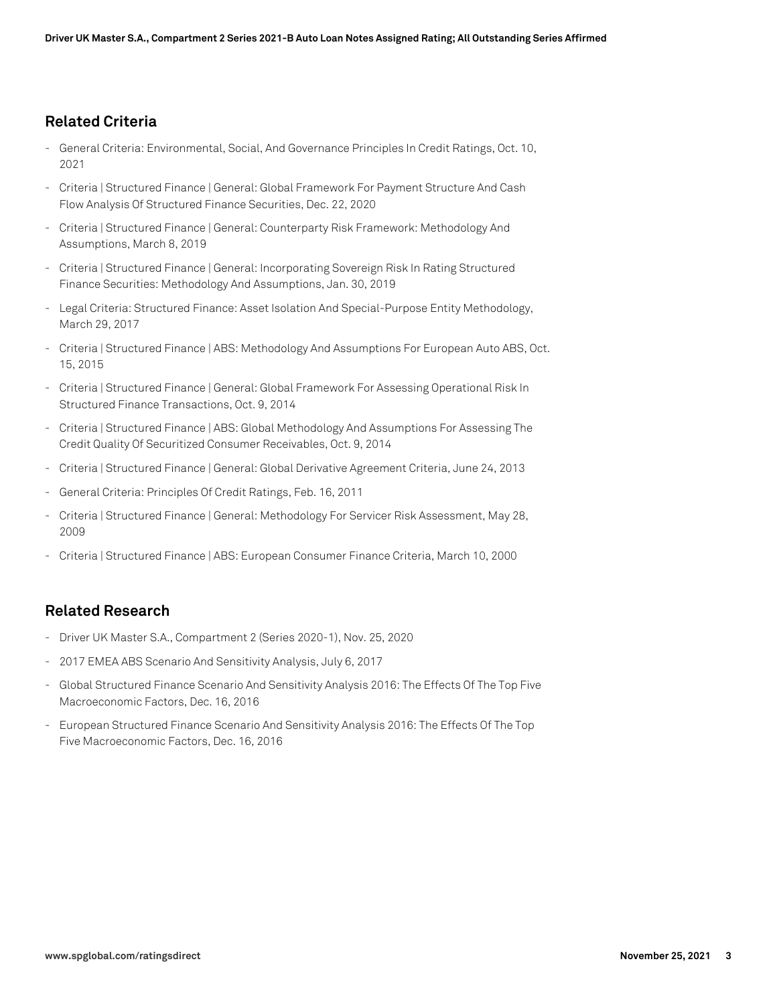# **Related Criteria**

- General Criteria: Environmental, Social, And Governance Principles In Credit Ratings, Oct. 10, 2021
- Criteria | Structured Finance | General: Global Framework For Payment Structure And Cash Flow Analysis Of Structured Finance Securities, Dec. 22, 2020
- Criteria | Structured Finance | General: Counterparty Risk Framework: Methodology And Assumptions, March 8, 2019
- Criteria | Structured Finance | General: Incorporating Sovereign Risk In Rating Structured Finance Securities: Methodology And Assumptions, Jan. 30, 2019
- Legal Criteria: Structured Finance: Asset Isolation And Special-Purpose Entity Methodology, March 29, 2017
- Criteria | Structured Finance | ABS: Methodology And Assumptions For European Auto ABS, Oct. 15, 2015
- Criteria | Structured Finance | General: Global Framework For Assessing Operational Risk In Structured Finance Transactions, Oct. 9, 2014
- Criteria | Structured Finance | ABS: Global Methodology And Assumptions For Assessing The Credit Quality Of Securitized Consumer Receivables, Oct. 9, 2014
- Criteria | Structured Finance | General: Global Derivative Agreement Criteria, June 24, 2013
- General Criteria: Principles Of Credit Ratings, Feb. 16, 2011
- Criteria | Structured Finance | General: Methodology For Servicer Risk Assessment, May 28, 2009
- Criteria | Structured Finance | ABS: European Consumer Finance Criteria, March 10, 2000

# **Related Research**

- Driver UK Master S.A., Compartment 2 (Series 2020-1), Nov. 25, 2020
- 2017 EMEA ABS Scenario And Sensitivity Analysis, July 6, 2017
- Global Structured Finance Scenario And Sensitivity Analysis 2016: The Effects Of The Top Five Macroeconomic Factors, Dec. 16, 2016
- European Structured Finance Scenario And Sensitivity Analysis 2016: The Effects Of The Top Five Macroeconomic Factors, Dec. 16, 2016